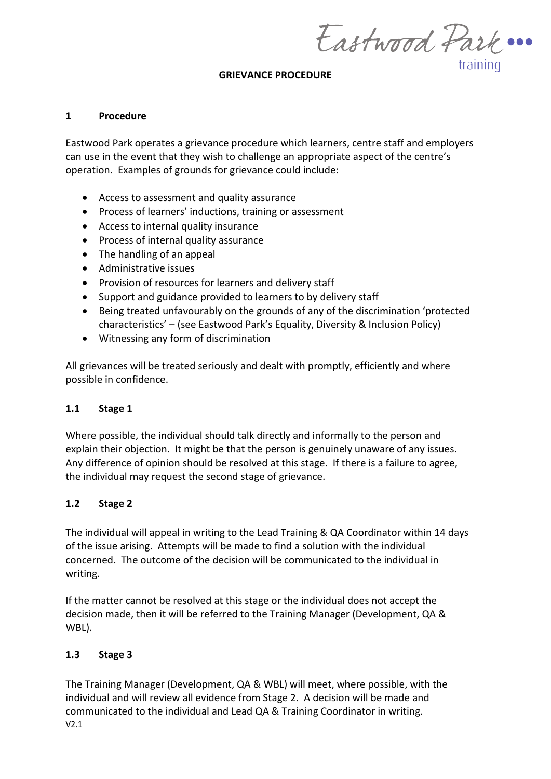Eastwood Park ... training

#### **GRIEVANCE PROCEDURE**

#### **1 Procedure**

Eastwood Park operates a grievance procedure which learners, centre staff and employers can use in the event that they wish to challenge an appropriate aspect of the centre's operation. Examples of grounds for grievance could include:

- Access to assessment and quality assurance
- Process of learners' inductions, training or assessment
- Access to internal quality insurance
- Process of internal quality assurance
- The handling of an appeal
- Administrative issues
- Provision of resources for learners and delivery staff
- Support and guidance provided to learners **to** by delivery staff
- Being treated unfavourably on the grounds of any of the discrimination 'protected characteristics' – (see Eastwood Park's Equality, Diversity & Inclusion Policy)
- Witnessing any form of discrimination

All grievances will be treated seriously and dealt with promptly, efficiently and where possible in confidence.

### **1.1 Stage 1**

Where possible, the individual should talk directly and informally to the person and explain their objection. It might be that the person is genuinely unaware of any issues. Any difference of opinion should be resolved at this stage. If there is a failure to agree, the individual may request the second stage of grievance.

### **1.2 Stage 2**

The individual will appeal in writing to the Lead Training & QA Coordinator within 14 days of the issue arising. Attempts will be made to find a solution with the individual concerned. The outcome of the decision will be communicated to the individual in writing.

If the matter cannot be resolved at this stage or the individual does not accept the decision made, then it will be referred to the Training Manager (Development, QA & WBL).

### **1.3 Stage 3**

V2.1 The Training Manager (Development, QA & WBL) will meet, where possible, with the individual and will review all evidence from Stage 2. A decision will be made and communicated to the individual and Lead QA & Training Coordinator in writing.